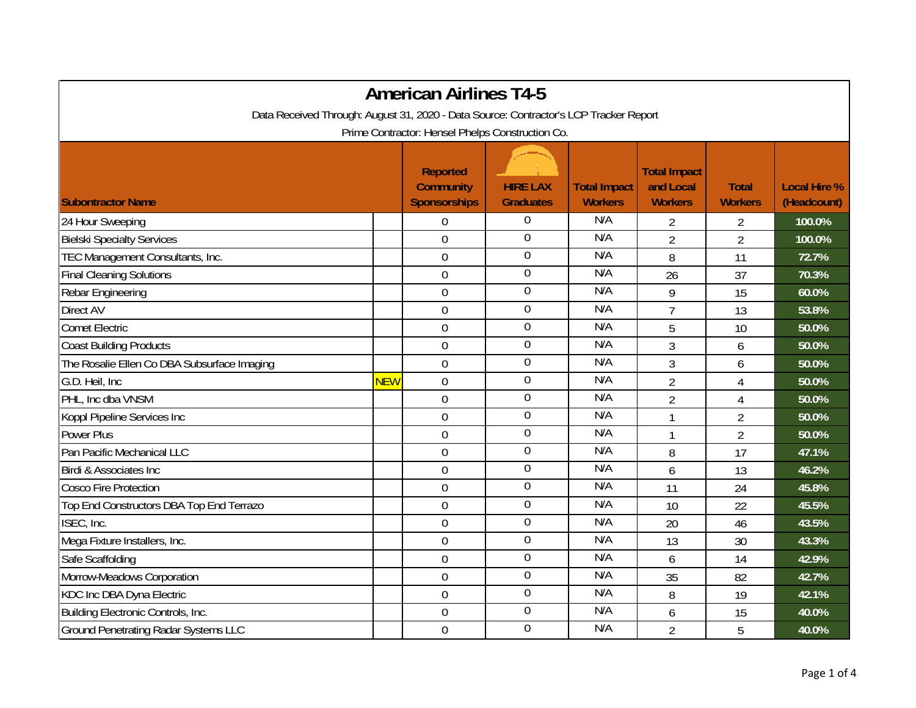|                                                                                       |            | <b>American Airlines T4-5</b>                              |                                     |                                       |                                                    |                                |                                    |
|---------------------------------------------------------------------------------------|------------|------------------------------------------------------------|-------------------------------------|---------------------------------------|----------------------------------------------------|--------------------------------|------------------------------------|
| Data Received Through: August 31, 2020 - Data Source: Contractor's LCP Tracker Report |            |                                                            |                                     |                                       |                                                    |                                |                                    |
|                                                                                       |            | Prime Contractor: Hensel Phelps Construction Co.           |                                     |                                       |                                                    |                                |                                    |
| <b>Subontractor Name</b>                                                              |            | <b>Reported</b><br><b>Community</b><br><b>Sponsorships</b> | <b>HIRE LAX</b><br><b>Graduates</b> | <b>Total Impact</b><br><b>Workers</b> | <b>Total Impact</b><br>and Local<br><b>Workers</b> | <b>Total</b><br><b>Workers</b> | <b>Local Hire %</b><br>(Headcount) |
| 24 Hour Sweeping                                                                      |            | $\Omega$                                                   | $\boldsymbol{0}$                    | N/A                                   | 2                                                  | 2                              | 100.0%                             |
| <b>Bielski Specialty Services</b>                                                     |            | $\mathbf 0$                                                | $\overline{0}$                      | N/A                                   | $\overline{2}$                                     | $\overline{2}$                 | 100.0%                             |
| TEC Management Consultants, Inc.                                                      |            | $\mathbf 0$                                                | $\boldsymbol{0}$                    | N/A                                   | 8                                                  | 11                             | 72.7%                              |
| <b>Final Cleaning Solutions</b>                                                       |            | $\mathbf 0$                                                | $\boldsymbol{0}$                    | N/A                                   | 26                                                 | 37                             | 70.3%                              |
| Rebar Engineering                                                                     |            | $\boldsymbol{0}$                                           | $\overline{0}$                      | N/A                                   | 9                                                  | 15                             | 60.0%                              |
| Direct AV                                                                             |            | $\mathbf 0$                                                | $\boldsymbol{0}$                    | N/A                                   | $\overline{7}$                                     | 13                             | 53.8%                              |
| <b>Comet Electric</b>                                                                 |            | $\mathbf 0$                                                | $\boldsymbol{0}$                    | N/A                                   | 5                                                  | 10                             | 50.0%                              |
| <b>Coast Building Products</b>                                                        |            | $\overline{0}$                                             | $\mathbf 0$                         | N/A                                   | 3                                                  | 6                              | 50.0%                              |
| The Rosalie Ellen Co DBA Subsurface Imaging                                           |            | $\overline{0}$                                             | $\overline{0}$                      | N/A                                   | 3                                                  | 6                              | 50.0%                              |
| G.D. Heil, Inc.                                                                       | <b>NEW</b> | $\boldsymbol{0}$                                           | $\boldsymbol{0}$                    | N/A                                   | $\overline{2}$                                     | $\overline{4}$                 | 50.0%                              |
| PHL, Inc dba VNSM                                                                     |            | $\overline{0}$                                             | $\boldsymbol{0}$                    | N/A                                   | $\overline{2}$                                     | $\overline{4}$                 | 50.0%                              |
| Koppl Pipeline Services Inc                                                           |            | $\overline{0}$                                             | $\boldsymbol{0}$                    | N/A                                   | 1                                                  | $\overline{2}$                 | 50.0%                              |
| <b>Power Plus</b>                                                                     |            | $\mathbf 0$                                                | $\mathbf 0$                         | N/A                                   |                                                    | $\overline{2}$                 | 50.0%                              |
| Pan Pacific Mechanical LLC                                                            |            | 0                                                          | $\mathbf 0$                         | N/A                                   | 8                                                  | 17                             | 47.1%                              |
| Birdi & Associates Inc                                                                |            | $\mathbf 0$                                                | $\overline{0}$                      | N/A                                   | 6                                                  | 13                             | 46.2%                              |
| <b>Cosco Fire Protection</b>                                                          |            | $\mathbf 0$                                                | $\boldsymbol{0}$                    | N/A                                   | 11                                                 | 24                             | 45.8%                              |
| Top End Constructors DBA Top End Terrazo                                              |            | $\mathbf 0$                                                | $\boldsymbol{0}$                    | N/A                                   | 10                                                 | 22                             | 45.5%                              |
| ISEC, Inc.                                                                            |            | $\mathbf 0$                                                | $\overline{0}$                      | N/A                                   | 20                                                 | 46                             | 43.5%                              |
| Mega Fixture Installers, Inc.                                                         |            | $\mathbf 0$                                                | $\boldsymbol{0}$                    | N/A                                   | 13                                                 | 30                             | 43.3%                              |
| Safe Scaffolding                                                                      |            | $\overline{0}$                                             | $\mathbf 0$                         | N/A                                   | 6                                                  | 14                             | 42.9%                              |
| Morrow-Meadows Corporation                                                            |            | $\mathbf 0$                                                | $\boldsymbol{0}$                    | N/A                                   | 35                                                 | 82                             | 42.7%                              |
| KDC Inc DBA Dyna Electric                                                             |            | $\mathbf 0$                                                | $\boldsymbol{0}$                    | N/A                                   | 8                                                  | 19                             | 42.1%                              |
| Building Electronic Controls, Inc.                                                    |            | $\overline{0}$                                             | $\boldsymbol{0}$                    | N/A                                   | 6                                                  | 15                             | 40.0%                              |
| <b>Ground Penetrating Radar Systems LLC</b>                                           |            | $\mathbf 0$                                                | $\overline{0}$                      | N/A                                   | $\overline{2}$                                     | 5                              | 40.0%                              |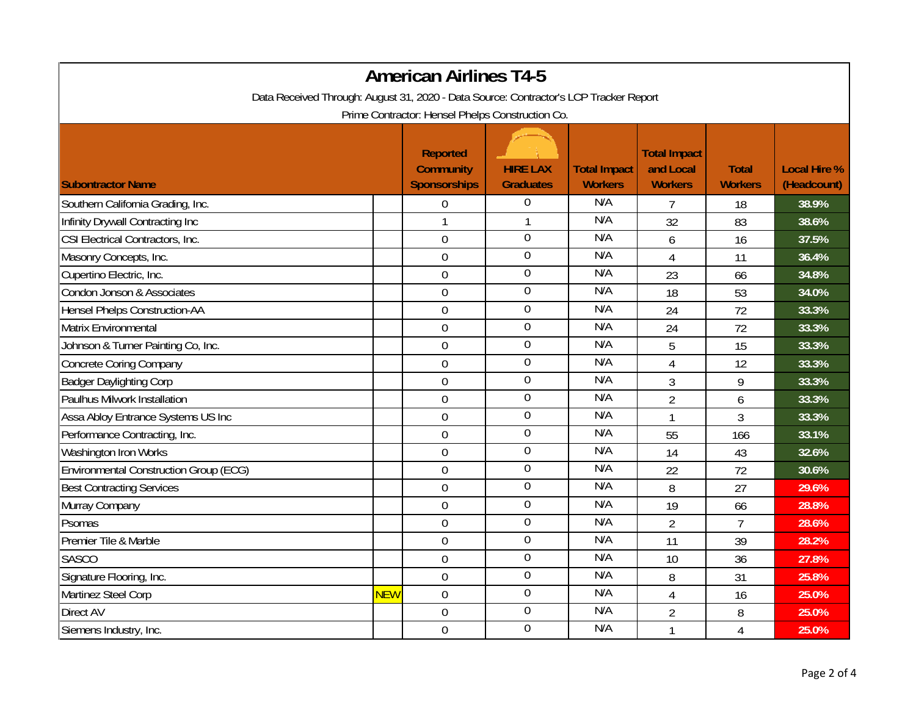| <b>American Airlines T4-5</b>                                                                                                             |            |                                                            |                                     |                                       |                                                    |                                |                                    |  |
|-------------------------------------------------------------------------------------------------------------------------------------------|------------|------------------------------------------------------------|-------------------------------------|---------------------------------------|----------------------------------------------------|--------------------------------|------------------------------------|--|
| Data Received Through: August 31, 2020 - Data Source: Contractor's LCP Tracker Report<br>Prime Contractor: Hensel Phelps Construction Co. |            |                                                            |                                     |                                       |                                                    |                                |                                    |  |
| <b>Subontractor Name</b>                                                                                                                  |            | <b>Reported</b><br><b>Community</b><br><b>Sponsorships</b> | <b>HIRE LAX</b><br><b>Graduates</b> | <b>Total Impact</b><br><b>Workers</b> | <b>Total Impact</b><br>and Local<br><b>Workers</b> | <b>Total</b><br><b>Workers</b> | <b>Local Hire %</b><br>(Headcount) |  |
| Southern California Grading, Inc.                                                                                                         |            | $\boldsymbol{0}$                                           | $\boldsymbol{0}$                    | N/A                                   | $\overline{7}$                                     | 18                             | 38.9%                              |  |
| Infinity Drywall Contracting Inc                                                                                                          |            | $\mathbf{1}$                                               | $\mathbf{1}$                        | N/A                                   | 32                                                 | 83                             | 38.6%                              |  |
| CSI Electrical Contractors, Inc.                                                                                                          |            | $\mathbf 0$                                                | $\overline{0}$                      | N/A                                   | 6                                                  | 16                             | 37.5%                              |  |
| Masonry Concepts, Inc.                                                                                                                    |            | $\boldsymbol{0}$                                           | $\boldsymbol{0}$                    | N/A                                   | $\overline{4}$                                     | 11                             | 36.4%                              |  |
| Cupertino Electric, Inc.                                                                                                                  |            | $\mathbf 0$                                                | $\boldsymbol{0}$                    | N/A                                   | 23                                                 | 66                             | 34.8%                              |  |
| Condon Jonson & Associates                                                                                                                |            | $\boldsymbol{0}$                                           | $\mathbf 0$                         | N/A                                   | 18                                                 | 53                             | 34.0%                              |  |
| <b>Hensel Phelps Construction-AA</b>                                                                                                      |            | $\boldsymbol{0}$                                           | $\overline{0}$                      | N/A                                   | 24                                                 | 72                             | 33.3%                              |  |
| Matrix Environmental                                                                                                                      |            | $\mathbf 0$                                                | $\mathbf 0$                         | N/A                                   | 24                                                 | 72                             | 33.3%                              |  |
| Johnson & Turner Painting Co, Inc.                                                                                                        |            | $\overline{0}$                                             | $\overline{0}$                      | N/A                                   | 5                                                  | 15                             | 33.3%                              |  |
| <b>Concrete Coring Company</b>                                                                                                            |            | $\mathbf 0$                                                | $\boldsymbol{0}$                    | N/A                                   | 4                                                  | 12                             | 33.3%                              |  |
| <b>Badger Daylighting Corp</b>                                                                                                            |            | $\overline{0}$                                             | $\boldsymbol{0}$                    | N/A                                   | 3                                                  | 9                              | 33.3%                              |  |
| Paulhus Milwork Installation                                                                                                              |            | $\overline{0}$                                             | $\boldsymbol{0}$                    | N/A                                   | $\overline{2}$                                     | 6                              | 33.3%                              |  |
| Assa Abloy Entrance Systems US Inc                                                                                                        |            | $\mathbf 0$                                                | $\boldsymbol{0}$                    | N/A                                   | 1                                                  | 3                              | 33.3%                              |  |
| Performance Contracting, Inc.                                                                                                             |            | $\mathbf 0$                                                | $\boldsymbol{0}$                    | N/A                                   | 55                                                 | 166                            | 33.1%                              |  |
| Washington Iron Works                                                                                                                     |            | $\boldsymbol{0}$                                           | $\boldsymbol{0}$                    | N/A                                   | 14                                                 | 43                             | 32.6%                              |  |
| <b>Environmental Construction Group (ECG)</b>                                                                                             |            | $\overline{0}$                                             | $\boldsymbol{0}$                    | N/A                                   | 22                                                 | 72                             | 30.6%                              |  |
| <b>Best Contracting Services</b>                                                                                                          |            | $\mathbf 0$                                                | $\mathbf 0$                         | N/A                                   | 8                                                  | 27                             | 29.6%                              |  |
| Murray Company                                                                                                                            |            | $\mathbf 0$                                                | $\mathbf 0$                         | N/A                                   | 19                                                 | 66                             | 28.8%                              |  |
| Psomas                                                                                                                                    |            | $\boldsymbol{0}$                                           | $\mathbf 0$                         | N/A                                   | $\overline{2}$                                     | $\overline{7}$                 | 28.6%                              |  |
| Premier Tile & Marble                                                                                                                     |            | $\mathbf 0$                                                | $\overline{0}$                      | N/A                                   | 11                                                 | 39                             | 28.2%                              |  |
| <b>SASCO</b>                                                                                                                              |            | $\boldsymbol{0}$                                           | $\boldsymbol{0}$                    | N/A                                   | 10                                                 | 36                             | 27.8%                              |  |
| Signature Flooring, Inc.                                                                                                                  |            | $\boldsymbol{0}$                                           | $\overline{0}$                      | N/A                                   | 8                                                  | 31                             | 25.8%                              |  |
| Martinez Steel Corp                                                                                                                       | <b>NEW</b> | $\mathbf 0$                                                | $\boldsymbol{0}$                    | N/A                                   | 4                                                  | 16                             | 25.0%                              |  |
| <b>Direct AV</b>                                                                                                                          |            | $\mathbf 0$                                                | $\overline{0}$                      | N/A                                   | $\overline{2}$                                     | 8                              | 25.0%                              |  |
| Siemens Industry, Inc.                                                                                                                    |            | $\mathbf 0$                                                | $\overline{0}$                      | N/A                                   |                                                    | 4                              | 25.0%                              |  |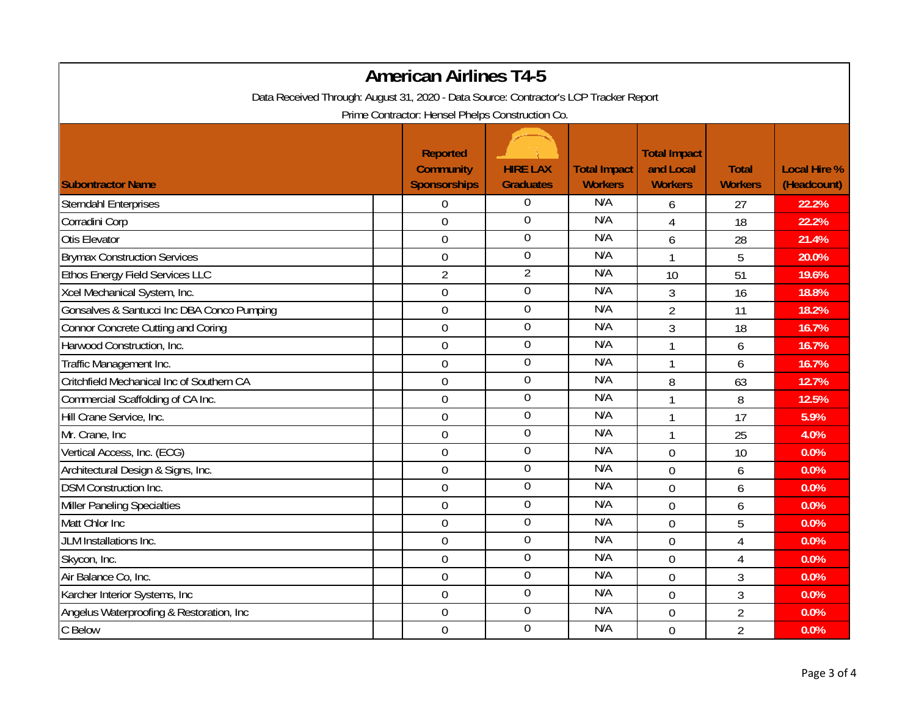| <b>American Airlines T4-5</b><br>Data Received Through: August 31, 2020 - Data Source: Contractor's LCP Tracker Report<br>Prime Contractor: Hensel Phelps Construction Co. |                  |                  |     |                |                |       |  |
|----------------------------------------------------------------------------------------------------------------------------------------------------------------------------|------------------|------------------|-----|----------------|----------------|-------|--|
|                                                                                                                                                                            |                  |                  |     |                |                |       |  |
| <b>Sterndahl Enterprises</b>                                                                                                                                               | $\boldsymbol{0}$ | 0                | N/A | 6              | 27             | 22.2% |  |
| Corradini Corp                                                                                                                                                             | $\overline{0}$   | $\overline{0}$   | N/A | 4              | 18             | 22.2% |  |
| Otis Elevator                                                                                                                                                              | $\mathbf 0$      | $\mathbf 0$      | N/A | 6              | 28             | 21.4% |  |
| <b>Brymax Construction Services</b>                                                                                                                                        | $\mathbf 0$      | $\overline{0}$   | N/A | 1              | 5              | 20.0% |  |
| Ethos Energy Field Services LLC                                                                                                                                            | $\overline{2}$   | $\overline{2}$   | N/A | 10             | 51             | 19.6% |  |
| Xcel Mechanical System, Inc.                                                                                                                                               | $\overline{0}$   | $\mathbf 0$      | N/A | 3              | 16             | 18.8% |  |
| Gonsalves & Santucci Inc DBA Conco Pumping                                                                                                                                 | $\mathbf 0$      | $\overline{0}$   | N/A | $\overline{2}$ | 11             | 18.2% |  |
| Connor Concrete Cutting and Coring                                                                                                                                         | $\mathbf 0$      | $\boldsymbol{0}$ | N/A | 3              | 18             | 16.7% |  |
| Harwood Construction, Inc.                                                                                                                                                 | $\overline{0}$   | $\overline{0}$   | N/A | 1              | 6              | 16.7% |  |
| Traffic Management Inc.                                                                                                                                                    | $\mathbf 0$      | $\boldsymbol{0}$ | N/A | 1              | 6              | 16.7% |  |
| Critchfield Mechanical Inc of Southern CA                                                                                                                                  | $\overline{0}$   | $\mathbf 0$      | N/A | 8              | 63             | 12.7% |  |
| Commercial Scaffolding of CA Inc.                                                                                                                                          | $\overline{0}$   | $\boldsymbol{0}$ | N/A | $\mathbf{1}$   | 8              | 12.5% |  |
| Hill Crane Service, Inc.                                                                                                                                                   | $\mathbf 0$      | $\mathbf 0$      | N/A | 1              | 17             | 5.9%  |  |
| Mr. Crane, Inc.                                                                                                                                                            | $\mathbf 0$      | $\boldsymbol{0}$ | N/A | $\mathbf{1}$   | 25             | 4.0%  |  |
| Vertical Access, Inc. (ECG)                                                                                                                                                | $\mathbf 0$      | $\boldsymbol{0}$ | N/A | $\overline{0}$ | 10             | 0.0%  |  |
| Architectural Design & Signs, Inc.                                                                                                                                         | $\overline{0}$   | $\mathbf 0$      | N/A | $\overline{0}$ | 6              | 0.0%  |  |
| <b>DSM Construction Inc.</b>                                                                                                                                               | $\mathbf 0$      | $\mathbf 0$      | N/A | $\overline{0}$ | 6              | 0.0%  |  |
| <b>Miller Paneling Specialties</b>                                                                                                                                         | $\mathbf 0$      | $\mathbf 0$      | N/A | $\overline{0}$ | 6              | 0.0%  |  |
| Matt Chlor Inc                                                                                                                                                             | $\overline{0}$   | $\mathbf 0$      | N/A | $\overline{0}$ | 5              | 0.0%  |  |
| JLM Installations Inc.                                                                                                                                                     | 0                | $\overline{0}$   | N/A | $\overline{0}$ | 4              | 0.0%  |  |
| Skycon, Inc.                                                                                                                                                               | $\overline{0}$   | $\mathbf 0$      | N/A | $\overline{0}$ | 4              | 0.0%  |  |
| Air Balance Co, Inc.                                                                                                                                                       | $\mathbf 0$      | $\overline{0}$   | N/A | $\overline{0}$ | 3              | 0.0%  |  |
| Karcher Interior Systems, Inc                                                                                                                                              | $\mathbf 0$      | $\boldsymbol{0}$ | N/A | $\overline{0}$ | $\overline{3}$ | 0.0%  |  |
| Angelus Waterproofing & Restoration, Inc.                                                                                                                                  | $\overline{0}$   | $\overline{0}$   | N/A | $\overline{0}$ | $\overline{2}$ | 0.0%  |  |
| C Below                                                                                                                                                                    | $\overline{0}$   | $\overline{0}$   | N/A | $\overline{0}$ | $\overline{2}$ | 0.0%  |  |